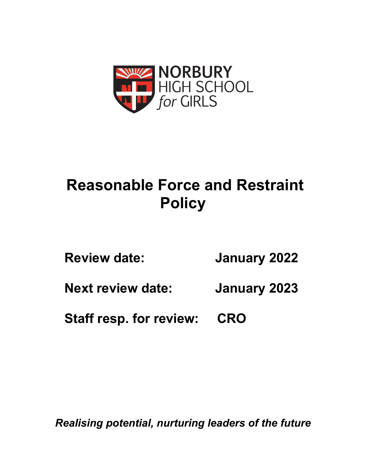

# **Reasonable Force and Restraint Policy**

| <b>Review date:</b> | <b>January 2022</b> |
|---------------------|---------------------|
|---------------------|---------------------|

**Next review date: January 2023**

**Staff resp. for review: CRO**

*Realising potential, nurturing leaders of the future*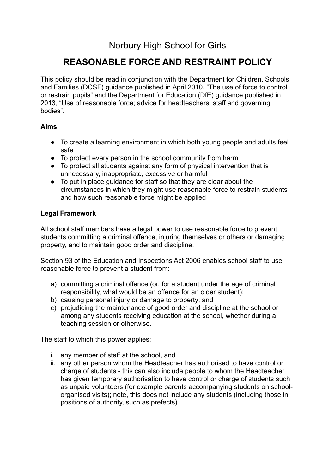## Norbury High School for Girls

## **REASONABLE FORCE AND RESTRAINT POLICY**

This policy should be read in conjunction with the Department for Children, Schools and Families (DCSF) guidance published in April 2010, "The use of force to control or restrain pupils" and the Department for Education (DfE) guidance published in 2013, "Use of reasonable force; advice for headteachers, staff and governing bodies".

#### **Aims**

- To create a learning environment in which both young people and adults feel safe
- To protect every person in the school community from harm
- To protect all students against any form of physical intervention that is unnecessary, inappropriate, excessive or harmful
- To put in place guidance for staff so that they are clear about the circumstances in which they might use reasonable force to restrain students and how such reasonable force might be applied

#### **Legal Framework**

All school staff members have a legal power to use reasonable force to prevent students committing a criminal offence, injuring themselves or others or damaging property, and to maintain good order and discipline.

Section 93 of the Education and Inspections Act 2006 enables school staff to use reasonable force to prevent a student from:

- a) committing a criminal offence (or, for a student under the age of criminal responsibility, what would be an offence for an older student);
- b) causing personal injury or damage to property; and
- c) prejudicing the maintenance of good order and discipline at the school or among any students receiving education at the school, whether during a teaching session or otherwise.

The staff to which this power applies:

- i. any member of staff at the school, and
- ii. any other person whom the Headteacher has authorised to have control or charge of students - this can also include people to whom the Headteacher has given temporary authorisation to have control or charge of students such as unpaid volunteers (for example parents accompanying students on schoolorganised visits); note, this does not include any students (including those in positions of authority, such as prefects).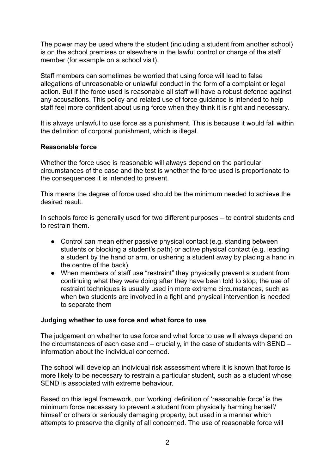The power may be used where the student (including a student from another school) is on the school premises or elsewhere in the lawful control or charge of the staff member (for example on a school visit).

Staff members can sometimes be worried that using force will lead to false allegations of unreasonable or unlawful conduct in the form of a complaint or legal action. But if the force used is reasonable all staff will have a robust defence against any accusations. This policy and related use of force guidance is intended to help staff feel more confident about using force when they think it is right and necessary.

It is always unlawful to use force as a punishment. This is because it would fall within the definition of corporal punishment, which is illegal.

#### **Reasonable force**

Whether the force used is reasonable will always depend on the particular circumstances of the case and the test is whether the force used is proportionate to the consequences it is intended to prevent.

This means the degree of force used should be the minimum needed to achieve the desired result.

In schools force is generally used for two different purposes – to control students and to restrain them.

- Control can mean either passive physical contact (e.g. standing between students or blocking a student's path) or active physical contact (e.g. leading a student by the hand or arm, or ushering a student away by placing a hand in the centre of the back)
- When members of staff use "restraint" they physically prevent a student from continuing what they were doing after they have been told to stop; the use of restraint techniques is usually used in more extreme circumstances, such as when two students are involved in a fight and physical intervention is needed to separate them

#### **Judging whether to use force and what force to use**

The judgement on whether to use force and what force to use will always depend on the circumstances of each case and – crucially, in the case of students with SEND – information about the individual concerned.

The school will develop an individual risk assessment where it is known that force is more likely to be necessary to restrain a particular student, such as a student whose SEND is associated with extreme behaviour.

Based on this legal framework, our 'working' definition of 'reasonable force' is the minimum force necessary to prevent a student from physically harming herself/ himself or others or seriously damaging property, but used in a manner which attempts to preserve the dignity of all concerned. The use of reasonable force will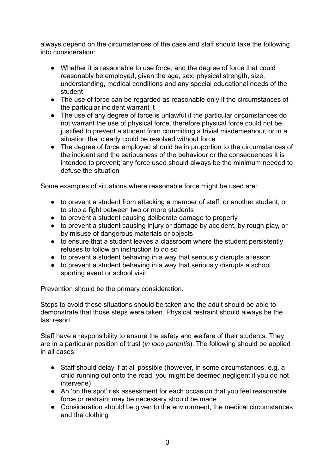always depend on the circumstances of the case and staff should take the following into consideration:

- Whether it is reasonable to use force, and the degree of force that could reasonably be employed, given the age, sex, physical strength, size, understanding, medical conditions and any special educational needs of the student
- The use of force can be regarded as reasonable only if the circumstances of the particular incident warrant it
- The use of any degree of force is unlawful if the particular circumstances do not warrant the use of physical force, therefore physical force could not be justified to prevent a student from committing a trivial misdemeanour, or in a situation that clearly could be resolved without force
- The degree of force employed should be in proportion to the circumstances of the incident and the seriousness of the behaviour or the consequences it is intended to prevent; any force used should always be the minimum needed to defuse the situation

Some examples of situations where reasonable force might be used are:

- to prevent a student from attacking a member of staff, or another student, or to stop a fight between two or more students
- to prevent a student causing deliberate damage to property
- to prevent a student causing injury or damage by accident, by rough play, or by misuse of dangerous materials or objects
- to ensure that a student leaves a classroom where the student persistently refuses to follow an instruction to do so
- to prevent a student behaving in a way that seriously disrupts a lesson
- to prevent a student behaving in a way that seriously disrupts a school sporting event or school visit

Prevention should be the primary consideration.

Steps to avoid these situations should be taken and the adult should be able to demonstrate that those steps were taken. Physical restraint should always be the last resort.

Staff have a responsibility to ensure the safety and welfare of their students. They are in a particular position of trust (*in loco parentis*). The following should be applied in all cases:

- Staff should delay if at all possible (however, in some circumstances, e.g. a child running out onto the road, you might be deemed negligent if you do not intervene)
- An 'on the spot' risk assessment for each occasion that you feel reasonable force or restraint may be necessary should be made
- Consideration should be given to the environment, the medical circumstances and the clothing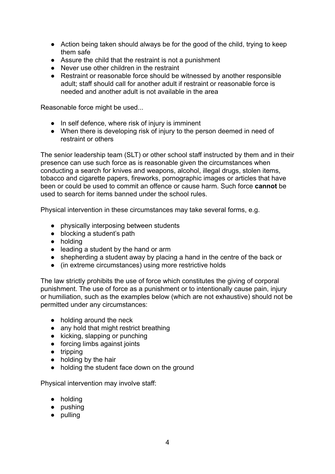- Action being taken should always be for the good of the child, trying to keep them safe
- Assure the child that the restraint is not a punishment
- Never use other children in the restraint
- Restraint or reasonable force should be witnessed by another responsible adult; staff should call for another adult if restraint or reasonable force is needed and another adult is not available in the area

Reasonable force might be used...

- In self defence, where risk of injury is imminent
- When there is developing risk of injury to the person deemed in need of restraint or others

The senior leadership team (SLT) or other school staff instructed by them and in their presence can use such force as is reasonable given the circumstances when conducting a search for knives and weapons, alcohol, illegal drugs, stolen items, tobacco and cigarette papers, fireworks, pornographic images or articles that have been or could be used to commit an offence or cause harm. Such force **cannot** be used to search for items banned under the school rules.

Physical intervention in these circumstances may take several forms, e.g.

- physically interposing between students
- blocking a student's path
- holding
- leading a student by the hand or arm
- shepherding a student away by placing a hand in the centre of the back or
- (in extreme circumstances) using more restrictive holds

The law strictly prohibits the use of force which constitutes the giving of corporal punishment. The use of force as a punishment or to intentionally cause pain, injury or humiliation, such as the examples below (which are not exhaustive) should not be permitted under any circumstances:

- holding around the neck
- any hold that might restrict breathing
- kicking, slapping or punching
- forcing limbs against joints
- tripping
- holding by the hair
- holding the student face down on the ground

Physical intervention may involve staff:

- holding
- pushing
- pulling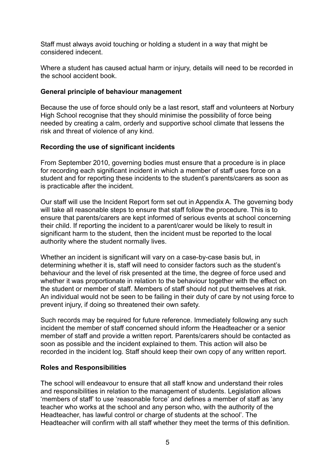Staff must always avoid touching or holding a student in a way that might be considered indecent.

Where a student has caused actual harm or injury, details will need to be recorded in the school accident book.

#### **General principle of behaviour management**

Because the use of force should only be a last resort, staff and volunteers at Norbury High School recognise that they should minimise the possibility of force being needed by creating a calm, orderly and supportive school climate that lessens the risk and threat of violence of any kind.

#### **Recording the use of significant incidents**

From September 2010, governing bodies must ensure that a procedure is in place for recording each significant incident in which a member of staff uses force on a student and for reporting these incidents to the student's parents/carers as soon as is practicable after the incident.

Our staff will use the Incident Report form set out in Appendix A. The governing body will take all reasonable steps to ensure that staff follow the procedure. This is to ensure that parents/carers are kept informed of serious events at school concerning their child. If reporting the incident to a parent/carer would be likely to result in significant harm to the student, then the incident must be reported to the local authority where the student normally lives.

Whether an incident is significant will vary on a case-by-case basis but, in determining whether it is, staff will need to consider factors such as the student's behaviour and the level of risk presented at the time, the degree of force used and whether it was proportionate in relation to the behaviour together with the effect on the student or member of staff. Members of staff should not put themselves at risk. An individual would not be seen to be failing in their duty of care by not using force to prevent injury, if doing so threatened their own safety.

Such records may be required for future reference. Immediately following any such incident the member of staff concerned should inform the Headteacher or a senior member of staff and provide a written report. Parents/carers should be contacted as soon as possible and the incident explained to them. This action will also be recorded in the incident log. Staff should keep their own copy of any written report.

#### **Roles and Responsibilities**

The school will endeavour to ensure that all staff know and understand their roles and responsibilities in relation to the management of students. Legislation allows 'members of staff' to use 'reasonable force' and defines a member of staff as 'any teacher who works at the school and any person who, with the authority of the Headteacher, has lawful control or charge of students at the school'. The Headteacher will confirm with all staff whether they meet the terms of this definition.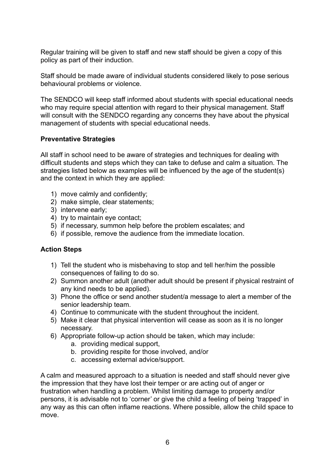Regular training will be given to staff and new staff should be given a copy of this policy as part of their induction.

Staff should be made aware of individual students considered likely to pose serious behavioural problems or violence.

The SENDCO will keep staff informed about students with special educational needs who may require special attention with regard to their physical management. Staff will consult with the SENDCO regarding any concerns they have about the physical management of students with special educational needs.

#### **Preventative Strategies**

All staff in school need to be aware of strategies and techniques for dealing with difficult students and steps which they can take to defuse and calm a situation. The strategies listed below as examples will be influenced by the age of the student(s) and the context in which they are applied:

- 1) move calmly and confidently;
- 2) make simple, clear statements;
- 3) intervene early;
- 4) try to maintain eye contact;
- 5) if necessary, summon help before the problem escalates; and
- 6) if possible, remove the audience from the immediate location.

#### **Action Steps**

- 1) Tell the student who is misbehaving to stop and tell her/him the possible consequences of failing to do so.
- 2) Summon another adult (another adult should be present if physical restraint of any kind needs to be applied).
- 3) Phone the office or send another student/a message to alert a member of the senior leadership team.
- 4) Continue to communicate with the student throughout the incident.
- 5) Make it clear that physical intervention will cease as soon as it is no longer necessary.
- 6) Appropriate follow-up action should be taken, which may include:
	- a. providing medical support,
	- b. providing respite for those involved, and/or
	- c. accessing external advice/support.

A calm and measured approach to a situation is needed and staff should never give the impression that they have lost their temper or are acting out of anger or frustration when handling a problem. Whilst limiting damage to property and/or persons, it is advisable not to 'corner' or give the child a feeling of being 'trapped' in any way as this can often inflame reactions. Where possible, allow the child space to move.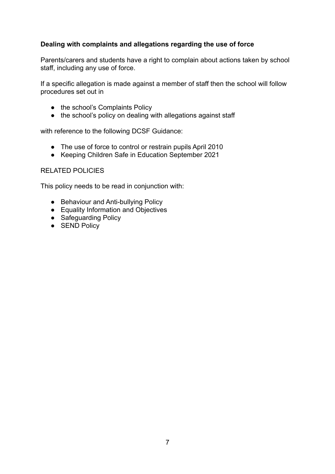#### **Dealing with complaints and allegations regarding the use of force**

Parents/carers and students have a right to complain about actions taken by school staff, including any use of force.

If a specific allegation is made against a member of staff then the school will follow procedures set out in

- the school's Complaints Policy
- the school's policy on dealing with allegations against staff

with reference to the following DCSF Guidance:

- The use of force to control or restrain pupils April 2010
- Keeping Children Safe in Education September 2021

#### RELATED POLICIES

This policy needs to be read in conjunction with:

- Behaviour and Anti-bullying Policy
- Equality Information and Objectives
- Safeguarding Policy
- SEND Policy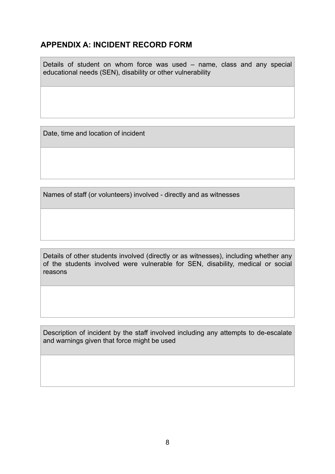### **APPENDIX A: INCIDENT RECORD FORM**

Details of student on whom force was used – name, class and any special educational needs (SEN), disability or other vulnerability

Date, time and location of incident

Names of staff (or volunteers) involved - directly and as witnesses

Details of other students involved (directly or as witnesses), including whether any of the students involved were vulnerable for SEN, disability, medical or social reasons

Description of incident by the staff involved including any attempts to de-escalate and warnings given that force might be used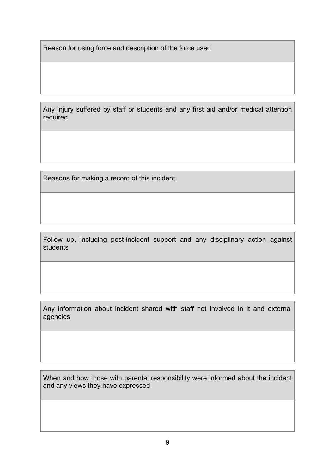Reason for using force and description of the force used

Any injury suffered by staff or students and any first aid and/or medical attention required

Reasons for making a record of this incident

Follow up, including post-incident support and any disciplinary action against students

Any information about incident shared with staff not involved in it and external agencies

When and how those with parental responsibility were informed about the incident and any views they have expressed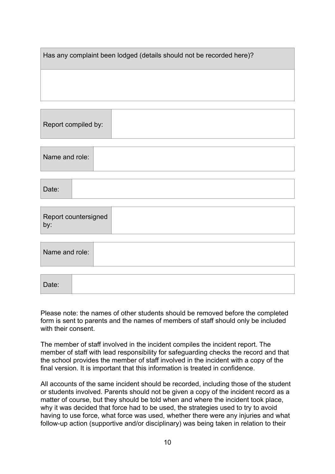| Has any complaint been lodged (details should not be recorded here)? |
|----------------------------------------------------------------------|
|                                                                      |
|                                                                      |

| Report compiled by: |  |
|---------------------|--|
|                     |  |

| Name and role: |  |  |  |
|----------------|--|--|--|
|----------------|--|--|--|

| Date: |  |  |  |  |
|-------|--|--|--|--|
|-------|--|--|--|--|

| Name and role: |  |
|----------------|--|
|                |  |

| Date: |
|-------|
|-------|

Please note: the names of other students should be removed before the completed form is sent to parents and the names of members of staff should only be included with their consent.

The member of staff involved in the incident compiles the incident report. The member of staff with lead responsibility for safeguarding checks the record and that the school provides the member of staff involved in the incident with a copy of the final version. It is important that this information is treated in confidence.

All accounts of the same incident should be recorded, including those of the student or students involved. Parents should not be given a copy of the incident record as a matter of course, but they should be told when and where the incident took place, why it was decided that force had to be used, the strategies used to try to avoid having to use force, what force was used, whether there were any injuries and what follow-up action (supportive and/or disciplinary) was being taken in relation to their